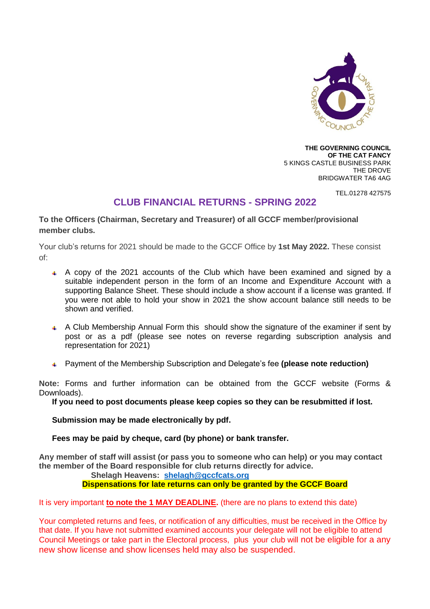

**THE GOVERNING COUNCIL OF THE CAT FANCY** 5 KINGS CASTLE BUSINESS PARK THE DROVE BRIDGWATER TA6 4AG

TEL.01278 427575

## **CLUB FINANCIAL RETURNS - SPRING 2022**

**To the Officers (Chairman, Secretary and Treasurer) of all GCCF member/provisional member clubs.**

Your club's returns for 2021 should be made to the GCCF Office by **1st May 2022.** These consist of:

- A copy of the 2021 accounts of the Club which have been examined and signed by a suitable independent person in the form of an Income and Expenditure Account with a supporting Balance Sheet. These should include a show account if a license was granted. If you were not able to hold your show in 2021 the show account balance still needs to be shown and verified.
- A Club Membership Annual Form this should show the signature of the examiner if sent by post or as a pdf (please see notes on reverse regarding subscription analysis and representation for 2021)
- Payment of the Membership Subscription and Delegate's fee **(please note reduction)**

**Note:** Forms and further information can be obtained from the GCCF website (Forms & Downloads).

**If you need to post documents please keep copies so they can be resubmitted if lost.** 

**Submission may be made electronically by pdf.** 

**Fees may be paid by cheque, card (by phone) or bank transfer.**

**Any member of staff will assist (or pass you to someone who can help) or you may contact the member of the Board responsible for club returns directly for advice.**

**Shelagh Heavens: [shelagh@gccfcats.org](mailto:shelagh@gccfcats.org) Dispensations for late returns can only be granted by the GCCF Board**

It is very important **to note the 1 MAY DEADLINE.** (there are no plans to extend this date)

Your completed returns and fees, or notification of any difficulties, must be received in the Office by that date. If you have not submitted examined accounts your delegate will not be eligible to attend Council Meetings or take part in the Electoral process, plus your club will not be eligible for a any new show license and show licenses held may also be suspended.